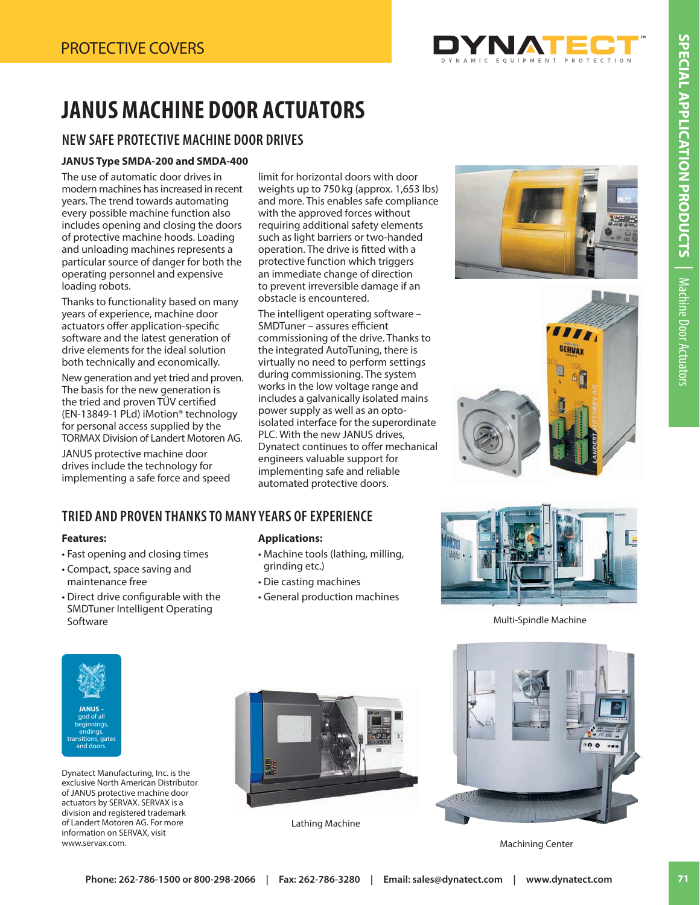

# **JANUS MACHINE DOOR ACTUATORS**

## **JANUS MACHINE DOOR ACTUATORS NEW SAFE PROTECTIVE MACHINE DOOR DRIVES**

#### **JANUS Type SMDA-200 and SMDA-400**

The use of automatic door drives in modern machines has increased in recent years. The trend towards automating every possible machine function also includes opening and closing the doors of protective machine hoods. Loading and unloading machines represents a particular source of danger for both the operating personnel and expensive loading robots.

Thanks to functionality based on many years of experience, machine door actuators offer application-specific software and the latest generation of drive elements for the ideal solution both technically and economically.

New generation and yet tried and proven. The basis for the new generation is the tried and proven TUV certified (EN-13849-1 PLd) iMotion® technology for personal access supplied by the TORMAX Division of Landert Motoren AG.

JANUS protective machine door drives include the technology for implementing a safe force and speed limit for horizontal doors with door weights up to 750 kg (approx. 1,653 lbs) and more. This enables safe compliance with the approved forces without requiring additional safety elements such as light barriers or two-handed operation. The drive is fitted with a protective function which triggers an immediate change of direction to prevent irreversible damage if an obstacle is encountered.

The intelligent operating software – SMDTuner – assures efficient commissioning of the drive. Thanks to the integrated AutoTuning, there is virtually no need to perform settings during commissioning. The system works in the low voltage range and includes a galvanically isolated mains power supply as well as an optoisolated interface for the superordinate PLC. With the new JANUS drives, Dynatect continues to offer mechanical engineers valuable support for implementing safe and reliable automated protective doors.





### **TRIED AND PROVEN THANKS TO MANY YEARS OF EXPERIENCE**

#### **Features:**

- Fast opening and closing times
- Compact, space saving and maintenance free
- Direct drive configurable with the SMDTuner Intelligent Operating Software

#### **Applications:**

- Machine tools (lathing, milling, grinding etc.)
- Die casting machines
- General production machines



Multi-Spindle Machine



Dynatect Manufacturing, Inc. is the exclusive North American Distributor of JANUS protective machine door actuators by SERVAX. SERVAX is a division and registered trademark of Landert Motoren AG. For more information on SERVAX, visit www.servax.com.



Lathing Machine



Machining Center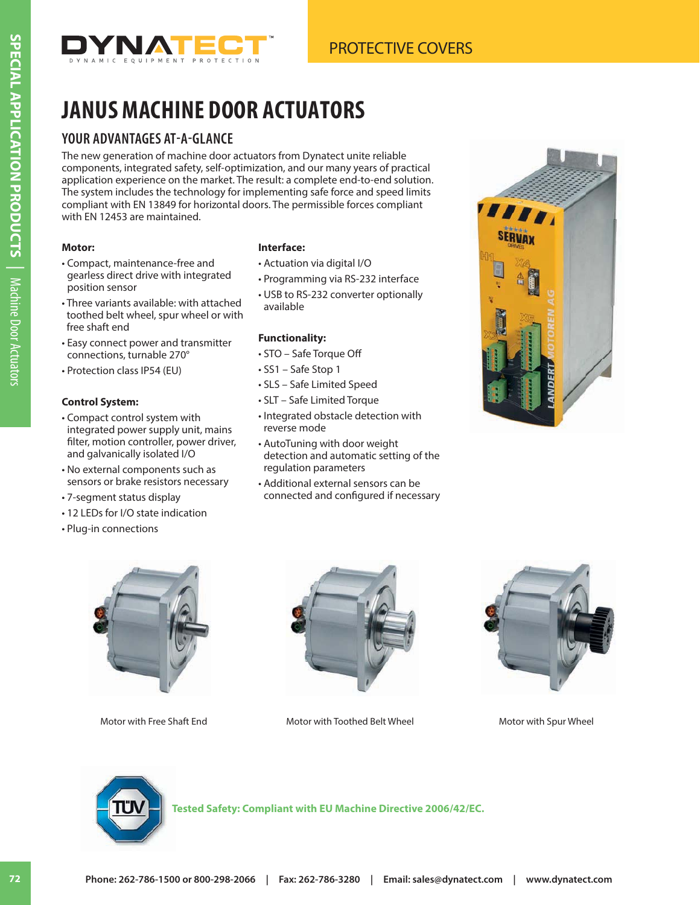

## **JANUS MACHINE DOOR ACTUATORS YOUR ADVANTAGES AT-A-GLANCE**

The new generation of machine door actuators from Dynatect unite reliable components, integrated safety, self-optimization, and our many years of practical application experience on the market. The result: a complete end-to-end solution. The system includes the technology for implementing safe force and speed limits compliant with EN 13849 for horizontal doors. The permissible forces compliant with EN 12453 are maintained.

### **Motor:**

**SPECIAL APPLICATION PRODUCTS**

**SPECIAL APPLICATION PRODUCTS** Nachine Door Actuators

Machine Door Actuators

- Compact, maintenance-free and gearless direct drive with integrated position sensor
- Three variants available: with attached toothed belt wheel, spur wheel or with free shaft end
- Easy connect power and transmitter connections, turnable 270°
- Protection class IP54 (EU)

### **Control System:**

- Compact control system with integrated power supply unit, mains filter, motion controller, power driver, and galvanically isolated I/O
- No external components such as sensors or brake resistors necessary
- 7-segment status display
- 12 LEDs for I/O state indication
- Plug-in connections

#### **Interface:**

- Actuation via digital I/O
- Programming via RS-232 interface
- USB to RS-232 converter optionally available

### **Functionality:**

- STO Safe Torque Off
- SS1 Safe Stop 1
- SLS Safe Limited Speed
- SLT Safe Limited Torque
- Integrated obstacle detection with reverse mode
- AutoTuning with door weight detection and automatic setting of the regulation parameters
- Additional external sensors can be connected and configured if necessary







Motor with Free Shaft End Motor with Toothed Belt Wheel Motor with Spur Wheel





**Tested Safety: Compliant with EU Machine Directive 2006/42/EC.**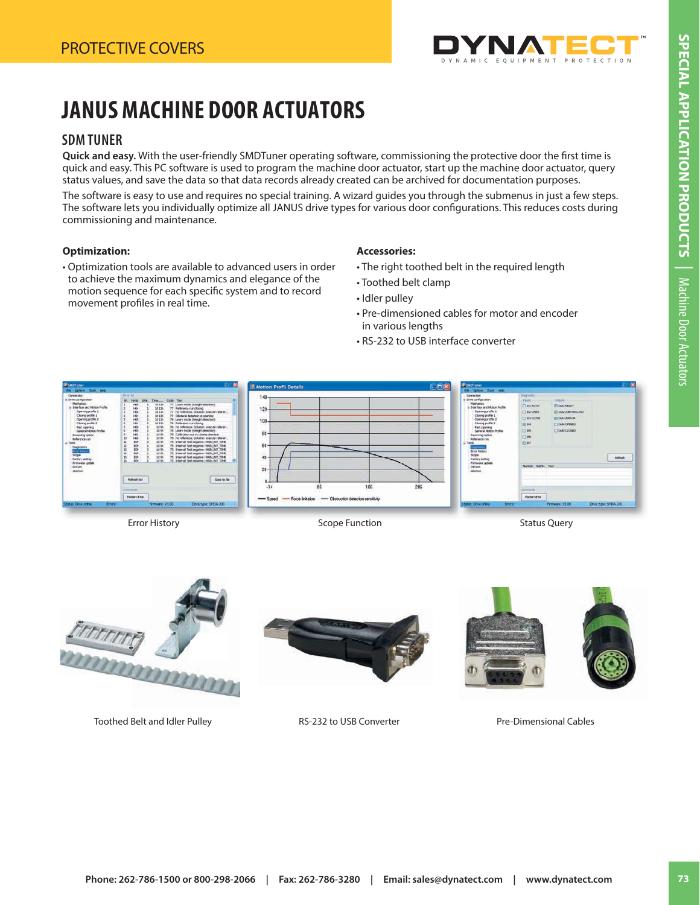

### **JANUS MACHINE DOOR ACTUATORS JANUS MACHINE DOOR ACTUATORS ACTUATORS**<br>SDM TUNER

### **SDM TUNER**

Quick and easy. With the user-friendly SMDTuner operating software, commissioning the protective door the first time is quick and easy. This PC software is used to program the machine door actuator, start up the machine door actuator, query status values, and save the data so that data records already created can be archived for documentation purposes.

The software is easy to use and requires no special training. A wizard guides you through the submenus in just a few steps. The software lets you individually optimize all JANUS drive types for various door configurations. This reduces costs during commissioning and maintenance.

#### **Optimization:**

• Optimization tools are available to advanced users in order to achieve the maximum dynamics and elegance of the motion sequence for each specific system and to record movement profiles in real time.

#### **Accessories:**

- The right toothed belt in the required length
- Toothed belt clamp
- Idler pulley
- Pre-dimensioned cables for motor and encoder in various lengths
- RS-232 to USB interface converter







Toothed Belt and Idler Pulley **RS-232 to USB Converter** Pre-Dimensional Cables



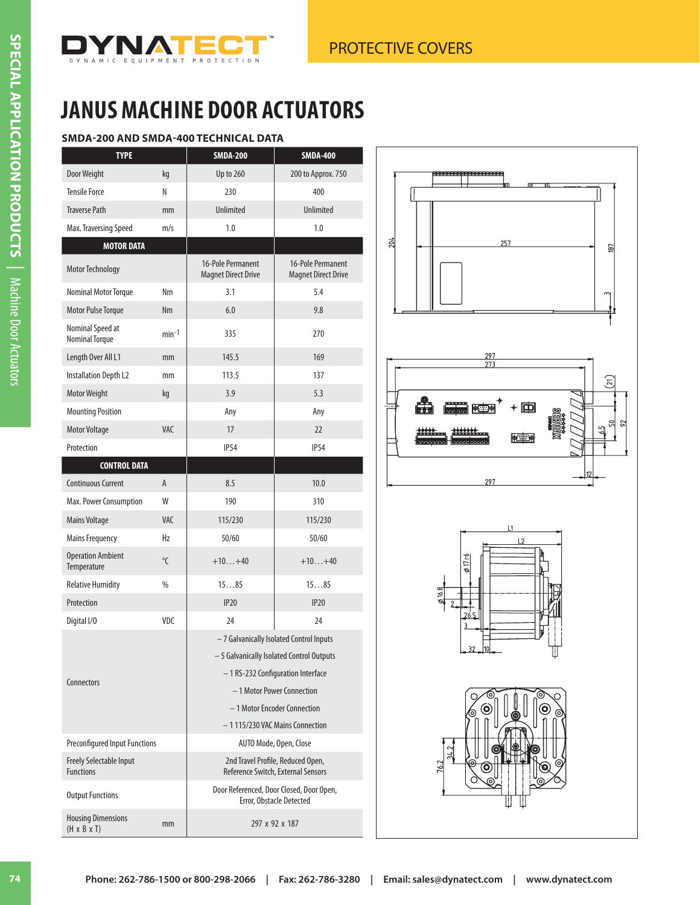

### **SMDA-200 AND SMDA-400 TECHNICAL DATA**

| <b>TYPE</b>                                          |                | <b>SMDA-200</b>                                                                                                                                                                                                               | <b>SMDA-400</b>                                 |  |
|------------------------------------------------------|----------------|-------------------------------------------------------------------------------------------------------------------------------------------------------------------------------------------------------------------------------|-------------------------------------------------|--|
| Door Weight                                          | kg             | <b>Up to 260</b>                                                                                                                                                                                                              | 200 to Approx. 750                              |  |
| <b>Tensile Force</b>                                 | N              | 230                                                                                                                                                                                                                           | 400                                             |  |
| <b>Traverse Path</b>                                 | mm             | <b>Unlimited</b>                                                                                                                                                                                                              | <b>Unlimited</b>                                |  |
| Max. Traversing Speed                                | m/s            | 1.0                                                                                                                                                                                                                           | 1.0                                             |  |
| <b>MOTOR DATA</b>                                    |                |                                                                                                                                                                                                                               |                                                 |  |
| Motor Technology                                     |                | 16-Pole Permanent<br><b>Magnet Direct Drive</b>                                                                                                                                                                               | 16-Pole Permanent<br><b>Magnet Direct Drive</b> |  |
| Nominal Motor Torque                                 | Nm             | 3.1                                                                                                                                                                                                                           | 5.4                                             |  |
| Motor Pulse Torque                                   | <b>Nm</b>      | 6.0                                                                                                                                                                                                                           | 9.8                                             |  |
| Nominal Speed at<br><b>Nominal Torque</b>            | $min-1$        | 335                                                                                                                                                                                                                           | 270                                             |  |
| Length Over All L1                                   | mm             | 145.5                                                                                                                                                                                                                         | 169                                             |  |
| <b>Installation Depth L2</b>                         | mm             | 113.5                                                                                                                                                                                                                         | 137                                             |  |
| Motor Weight                                         | kg             | 3.9                                                                                                                                                                                                                           | 5.3                                             |  |
| <b>Mounting Position</b>                             |                | Any                                                                                                                                                                                                                           | Any                                             |  |
| <b>Motor Voltage</b>                                 | <b>VAC</b>     | 17                                                                                                                                                                                                                            | 22                                              |  |
| Protection                                           |                | <b>IP54</b>                                                                                                                                                                                                                   | <b>IP54</b>                                     |  |
| <b>CONTROL DATA</b>                                  |                |                                                                                                                                                                                                                               |                                                 |  |
| <b>Continuous Current</b>                            | A              | 8.5                                                                                                                                                                                                                           | 10.0                                            |  |
| Max. Power Consumption                               | W              | 190                                                                                                                                                                                                                           | 310                                             |  |
| Mains Voltage                                        | <b>VAC</b>     | 115/230                                                                                                                                                                                                                       | 115/230                                         |  |
| <b>Mains Frequency</b>                               | Hz             | 50/60                                                                                                                                                                                                                         | 50/60                                           |  |
| <b>Operation Ambient</b><br>Temperature              | $\overline{C}$ | $+10+40$                                                                                                                                                                                                                      | $+10+40$                                        |  |
| <b>Relative Humidity</b>                             | %              | 1585                                                                                                                                                                                                                          | 1585                                            |  |
| Protection                                           |                | <b>IP20</b>                                                                                                                                                                                                                   | <b>IP20</b>                                     |  |
| Digital I/O                                          | VDC            | 24                                                                                                                                                                                                                            | 24                                              |  |
| Connectors                                           |                | - 7 Galvanically Isolated Control Inputs<br>- 5 Galvanically Isolated Control Outputs<br>- 1 RS-232 Configuration Interface<br>- 1 Motor Power Connection<br>- 1 Motor Encoder Connection<br>- 1 115/230 VAC Mains Connection |                                                 |  |
| <b>Preconfigured Input Functions</b>                 |                | AUTO Mode, Open, Close                                                                                                                                                                                                        |                                                 |  |
| <b>Freely Selectable Input</b><br><b>Functions</b>   |                | 2nd Travel Profile, Reduced Open,<br>Reference Switch, External Sensors                                                                                                                                                       |                                                 |  |
| <b>Output Functions</b>                              |                | Door Referenced, Door Closed, Door Open,<br>Error, Obstacle Detected                                                                                                                                                          |                                                 |  |
| <b>Housing Dimensions</b><br>$(H \times B \times T)$ | mm             | 297 x 92 x 187                                                                                                                                                                                                                |                                                 |  |